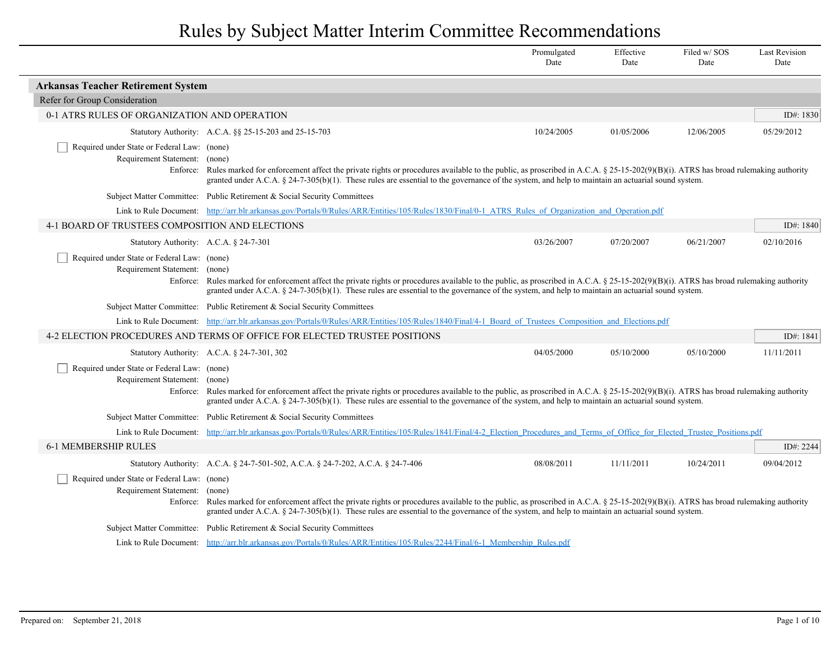|                                                                              |                                                                                                                                                                                                                                                                                                                                                                                                                                  | Promulgated<br>Date | Effective<br>Date | Filed w/SOS<br>Date | <b>Last Revision</b><br>Date |  |  |
|------------------------------------------------------------------------------|----------------------------------------------------------------------------------------------------------------------------------------------------------------------------------------------------------------------------------------------------------------------------------------------------------------------------------------------------------------------------------------------------------------------------------|---------------------|-------------------|---------------------|------------------------------|--|--|
| <b>Arkansas Teacher Retirement System</b>                                    |                                                                                                                                                                                                                                                                                                                                                                                                                                  |                     |                   |                     |                              |  |  |
| Refer for Group Consideration                                                |                                                                                                                                                                                                                                                                                                                                                                                                                                  |                     |                   |                     |                              |  |  |
| 0-1 ATRS RULES OF ORGANIZATION AND OPERATION                                 |                                                                                                                                                                                                                                                                                                                                                                                                                                  |                     |                   |                     | ID#: 1830                    |  |  |
|                                                                              | Statutory Authority: A.C.A. §§ 25-15-203 and 25-15-703                                                                                                                                                                                                                                                                                                                                                                           | 10/24/2005          | 01/05/2006        | 12/06/2005          | 05/29/2012                   |  |  |
| Required under State or Federal Law: (none)<br>Requirement Statement: (none) | Enforce: Rules marked for enforcement affect the private rights or procedures available to the public, as proscribed in A.C.A. § 25-15-202(9)(B)(i). ATRS has broad rulemaking authority<br>granted under A.C.A. $\S$ 24-7-305(b)(1). These rules are essential to the governance of the system, and help to maintain an actuarial sound system.                                                                                 |                     |                   |                     |                              |  |  |
|                                                                              | Subject Matter Committee: Public Retirement & Social Security Committees                                                                                                                                                                                                                                                                                                                                                         |                     |                   |                     |                              |  |  |
|                                                                              | Link to Rule Document: http://arr.blr.arkansas.gov/Portals/0/Rules/ARR/Entities/105/Rules/1830/Final/0-1 ATRS Rules of Organization and Operation.pdf                                                                                                                                                                                                                                                                            |                     |                   |                     |                              |  |  |
| 4-1 BOARD OF TRUSTEES COMPOSITION AND ELECTIONS                              | ID#: 1840                                                                                                                                                                                                                                                                                                                                                                                                                        |                     |                   |                     |                              |  |  |
| Statutory Authority: A.C.A. § 24-7-301                                       |                                                                                                                                                                                                                                                                                                                                                                                                                                  | 03/26/2007          | 07/20/2007        | 06/21/2007          | 02/10/2016                   |  |  |
| Required under State or Federal Law: (none)<br>Requirement Statement: (none) | Enforce: Rules marked for enforcement affect the private rights or procedures available to the public, as proscribed in A.C.A. § 25-15-202(9)(B)(i). ATRS has broad rulemaking authority<br>granted under A.C.A. § 24-7-305(b)(1). These rules are essential to the governance of the system, and help to maintain an actuarial sound system.                                                                                    |                     |                   |                     |                              |  |  |
|                                                                              | Subject Matter Committee: Public Retirement & Social Security Committees                                                                                                                                                                                                                                                                                                                                                         |                     |                   |                     |                              |  |  |
|                                                                              | Link to Rule Document: http://arr.blr.arkansas.gov/Portals/0/Rules/ARR/Entities/105/Rules/1840/Final/4-1 Board of Trustees Composition and Elections.pdf                                                                                                                                                                                                                                                                         |                     |                   |                     |                              |  |  |
|                                                                              | 4-2 ELECTION PROCEDURES AND TERMS OF OFFICE FOR ELECTED TRUSTEE POSITIONS                                                                                                                                                                                                                                                                                                                                                        |                     |                   |                     | ID#: 1841                    |  |  |
|                                                                              | Statutory Authority: A.C.A. § 24-7-301, 302                                                                                                                                                                                                                                                                                                                                                                                      | 04/05/2000          | 05/10/2000        | 05/10/2000          | 11/11/2011                   |  |  |
| Required under State or Federal Law: (none)<br>Requirement Statement:        | (none)<br>Enforce: Rules marked for enforcement affect the private rights or procedures available to the public, as proscribed in A.C.A. § 25-15-202(9)(B)(i). ATRS has broad rulemaking authority<br>granted under A.C.A. § 24-7-305(b)(1). These rules are essential to the governance of the system, and help to maintain an actuarial sound system.                                                                          |                     |                   |                     |                              |  |  |
|                                                                              | Subject Matter Committee: Public Retirement & Social Security Committees                                                                                                                                                                                                                                                                                                                                                         |                     |                   |                     |                              |  |  |
|                                                                              | Link to Rule Document: http://arr.blr.arkansas.gov/Portals/0/Rules/ARR/Entities/105/Rules/1841/Final/4-2 Election Procedures and Terms of Office for Elected Trustee Positions.pdf                                                                                                                                                                                                                                               |                     |                   |                     |                              |  |  |
| <b>6-1 MEMBERSHIP RULES</b>                                                  |                                                                                                                                                                                                                                                                                                                                                                                                                                  |                     |                   |                     | ID#: 2244                    |  |  |
|                                                                              | Statutory Authority: A.C.A. § 24-7-501-502, A.C.A. § 24-7-202, A.C.A. § 24-7-406                                                                                                                                                                                                                                                                                                                                                 | 08/08/2011          | 11/11/2011        | 10/24/2011          | 09/04/2012                   |  |  |
|                                                                              | Required under State or Federal Law: (none)<br>Requirement Statement: (none)<br>Rules marked for enforcement affect the private rights or procedures available to the public, as proscribed in A.C.A. § 25-15-202(9)(B)(i). ATRS has broad rulemaking authority<br>Enforce:<br>granted under A.C.A. § 24-7-305(b)(1). These rules are essential to the governance of the system, and help to maintain an actuarial sound system. |                     |                   |                     |                              |  |  |
|                                                                              | Subject Matter Committee: Public Retirement & Social Security Committees                                                                                                                                                                                                                                                                                                                                                         |                     |                   |                     |                              |  |  |
|                                                                              | Link to Rule Document: http://arr.blr.arkansas.gov/Portals/0/Rules/ARR/Entities/105/Rules/2244/Final/6-1 Membership Rules.pdf                                                                                                                                                                                                                                                                                                    |                     |                   |                     |                              |  |  |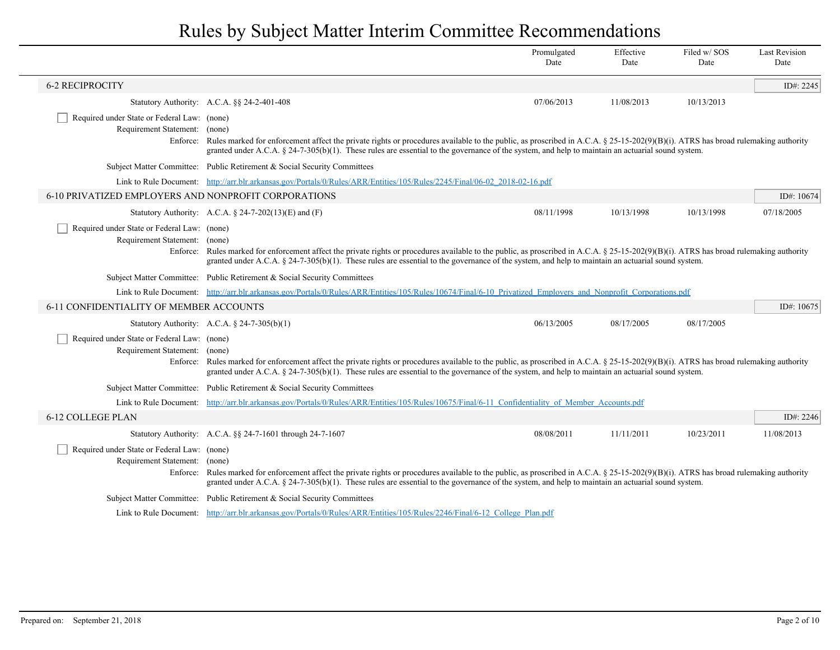|                                                                                                                                                                                                                                                                                                                                                                                                                                                                                                                                                                                                                                                                                                                                                                                                                                                                                                                                                                                                                                                                                                                                                                                                                                                                                                                                                                                                                                                                                                                                                                                                                                                                                                                     |             | Promulgated<br>Date | Effective<br>Date | Filed w/SOS<br>Date | <b>Last Revision</b><br>Date |
|---------------------------------------------------------------------------------------------------------------------------------------------------------------------------------------------------------------------------------------------------------------------------------------------------------------------------------------------------------------------------------------------------------------------------------------------------------------------------------------------------------------------------------------------------------------------------------------------------------------------------------------------------------------------------------------------------------------------------------------------------------------------------------------------------------------------------------------------------------------------------------------------------------------------------------------------------------------------------------------------------------------------------------------------------------------------------------------------------------------------------------------------------------------------------------------------------------------------------------------------------------------------------------------------------------------------------------------------------------------------------------------------------------------------------------------------------------------------------------------------------------------------------------------------------------------------------------------------------------------------------------------------------------------------------------------------------------------------|-------------|---------------------|-------------------|---------------------|------------------------------|
| <b>6-2 RECIPROCITY</b>                                                                                                                                                                                                                                                                                                                                                                                                                                                                                                                                                                                                                                                                                                                                                                                                                                                                                                                                                                                                                                                                                                                                                                                                                                                                                                                                                                                                                                                                                                                                                                                                                                                                                              |             |                     |                   |                     | ID#: 2245                    |
|                                                                                                                                                                                                                                                                                                                                                                                                                                                                                                                                                                                                                                                                                                                                                                                                                                                                                                                                                                                                                                                                                                                                                                                                                                                                                                                                                                                                                                                                                                                                                                                                                                                                                                                     |             | 07/06/2013          | 11/08/2013        | 10/13/2013          |                              |
| Enforce:                                                                                                                                                                                                                                                                                                                                                                                                                                                                                                                                                                                                                                                                                                                                                                                                                                                                                                                                                                                                                                                                                                                                                                                                                                                                                                                                                                                                                                                                                                                                                                                                                                                                                                            |             |                     |                   |                     |                              |
|                                                                                                                                                                                                                                                                                                                                                                                                                                                                                                                                                                                                                                                                                                                                                                                                                                                                                                                                                                                                                                                                                                                                                                                                                                                                                                                                                                                                                                                                                                                                                                                                                                                                                                                     |             |                     |                   |                     |                              |
|                                                                                                                                                                                                                                                                                                                                                                                                                                                                                                                                                                                                                                                                                                                                                                                                                                                                                                                                                                                                                                                                                                                                                                                                                                                                                                                                                                                                                                                                                                                                                                                                                                                                                                                     |             |                     |                   |                     |                              |
| Required under State or Federal Law: (none)<br>Requirement Statement: (none)<br>Rules marked for enforcement affect the private rights or procedures available to the public, as proscribed in A.C.A. § 25-15-202(9)(B)(i). ATRS has broad rulemaking authority<br>granted under A.C.A. $\S$ 24-7-305(b)(1). These rules are essential to the governance of the system, and help to maintain an actuarial sound system.<br>Subject Matter Committee: Public Retirement & Social Security Committees<br>Link to Rule Document: http://arr.blr.arkansas.gov/Portals/0/Rules/ARR/Entities/105/Rules/2245/Final/06-02 2018-02-16.pdf<br>6-10 PRIVATIZED EMPLOYERS AND NONPROFIT CORPORATIONS<br>08/11/1998<br>Statutory Authority: A.C.A. $\S$ 24-7-202(13)(E) and (F)<br>10/13/1998<br>10/13/1998<br>Required under State or Federal Law: (none)<br>Requirement Statement: (none)<br>Enforce: Rules marked for enforcement affect the private rights or procedures available to the public, as proscribed in A.C.A. § 25-15-202(9)(B)(i). ATRS has broad rulemaking authority<br>granted under A.C.A. § 24-7-305(b)(1). These rules are essential to the governance of the system, and help to maintain an actuarial sound system.<br>Subject Matter Committee: Public Retirement & Social Security Committees<br>Link to Rule Document: http://arr.blr.arkansas.gov/Portals/0/Rules/ARR/Entities/105/Rules/10674/Final/6-10 Privatized Employers and Nonprofit Corporations.pdf<br>6-11 CONFIDENTIALITY OF MEMBER ACCOUNTS<br>ID#: 10675<br>Statutory Authority: A.C.A. $\S$ 24-7-305(b)(1)<br>06/13/2005<br>08/17/2005<br>08/17/2005<br>Required under State or Federal Law: (none)<br>Requirement Statement: (none) |             | ID#: 10674          |                   |                     |                              |
|                                                                                                                                                                                                                                                                                                                                                                                                                                                                                                                                                                                                                                                                                                                                                                                                                                                                                                                                                                                                                                                                                                                                                                                                                                                                                                                                                                                                                                                                                                                                                                                                                                                                                                                     |             |                     |                   |                     | 07/18/2005                   |
|                                                                                                                                                                                                                                                                                                                                                                                                                                                                                                                                                                                                                                                                                                                                                                                                                                                                                                                                                                                                                                                                                                                                                                                                                                                                                                                                                                                                                                                                                                                                                                                                                                                                                                                     |             |                     |                   |                     |                              |
|                                                                                                                                                                                                                                                                                                                                                                                                                                                                                                                                                                                                                                                                                                                                                                                                                                                                                                                                                                                                                                                                                                                                                                                                                                                                                                                                                                                                                                                                                                                                                                                                                                                                                                                     |             |                     |                   |                     |                              |
|                                                                                                                                                                                                                                                                                                                                                                                                                                                                                                                                                                                                                                                                                                                                                                                                                                                                                                                                                                                                                                                                                                                                                                                                                                                                                                                                                                                                                                                                                                                                                                                                                                                                                                                     |             |                     |                   |                     |                              |
|                                                                                                                                                                                                                                                                                                                                                                                                                                                                                                                                                                                                                                                                                                                                                                                                                                                                                                                                                                                                                                                                                                                                                                                                                                                                                                                                                                                                                                                                                                                                                                                                                                                                                                                     |             |                     |                   |                     |                              |
|                                                                                                                                                                                                                                                                                                                                                                                                                                                                                                                                                                                                                                                                                                                                                                                                                                                                                                                                                                                                                                                                                                                                                                                                                                                                                                                                                                                                                                                                                                                                                                                                                                                                                                                     |             |                     |                   |                     |                              |
|                                                                                                                                                                                                                                                                                                                                                                                                                                                                                                                                                                                                                                                                                                                                                                                                                                                                                                                                                                                                                                                                                                                                                                                                                                                                                                                                                                                                                                                                                                                                                                                                                                                                                                                     |             |                     |                   |                     |                              |
|                                                                                                                                                                                                                                                                                                                                                                                                                                                                                                                                                                                                                                                                                                                                                                                                                                                                                                                                                                                                                                                                                                                                                                                                                                                                                                                                                                                                                                                                                                                                                                                                                                                                                                                     |             |                     |                   |                     |                              |
|                                                                                                                                                                                                                                                                                                                                                                                                                                                                                                                                                                                                                                                                                                                                                                                                                                                                                                                                                                                                                                                                                                                                                                                                                                                                                                                                                                                                                                                                                                                                                                                                                                                                                                                     |             |                     |                   |                     |                              |
| Statutory Authority: A.C.A. §§ 24-2-401-408<br>Rules marked for enforcement affect the private rights or procedures available to the public, as proscribed in A.C.A. § 25-15-202(9)(B)(i). ATRS has broad rulemaking authority<br>Enforce:<br>granted under A.C.A. § 24-7-305(b)(1). These rules are essential to the governance of the system, and help to maintain an actuarial sound system.<br>Subject Matter Committee: Public Retirement & Social Security Committees<br>Link to Rule Document: http://arr.blr.arkansas.gov/Portals/0/Rules/ARR/Entities/105/Rules/10675/Final/6-11 Confidentiality of Member Accounts.pdf<br>6-12 COLLEGE PLAN<br>08/08/2011<br>Statutory Authority: A.C.A. §§ 24-7-1601 through 24-7-1607<br>11/11/2011<br>10/23/2011<br>Required under State or Federal Law: (none)<br>Requirement Statement: (none)<br>granted under A.C.A. § 24-7-305(b)(1). These rules are essential to the governance of the system, and help to maintain an actuarial sound system.<br>Subject Matter Committee: Public Retirement & Social Security Committees<br>Link to Rule Document: http://arr.blr.arkansas.gov/Portals/0/Rules/ARR/Entities/105/Rules/2246/Final/6-12 College Plan.pdf                                                                                                                                                                                                                                                                                                                                                                                                                                                                                                        | ID#: $2246$ |                     |                   |                     |                              |
|                                                                                                                                                                                                                                                                                                                                                                                                                                                                                                                                                                                                                                                                                                                                                                                                                                                                                                                                                                                                                                                                                                                                                                                                                                                                                                                                                                                                                                                                                                                                                                                                                                                                                                                     |             |                     |                   |                     | 11/08/2013                   |
| Enforce: Rules marked for enforcement affect the private rights or procedures available to the public, as proscribed in A.C.A. § 25-15-202(9)(B)(i). ATRS has broad rulemaking authority                                                                                                                                                                                                                                                                                                                                                                                                                                                                                                                                                                                                                                                                                                                                                                                                                                                                                                                                                                                                                                                                                                                                                                                                                                                                                                                                                                                                                                                                                                                            |             |                     |                   |                     |                              |
|                                                                                                                                                                                                                                                                                                                                                                                                                                                                                                                                                                                                                                                                                                                                                                                                                                                                                                                                                                                                                                                                                                                                                                                                                                                                                                                                                                                                                                                                                                                                                                                                                                                                                                                     |             |                     |                   |                     |                              |
|                                                                                                                                                                                                                                                                                                                                                                                                                                                                                                                                                                                                                                                                                                                                                                                                                                                                                                                                                                                                                                                                                                                                                                                                                                                                                                                                                                                                                                                                                                                                                                                                                                                                                                                     |             |                     |                   |                     |                              |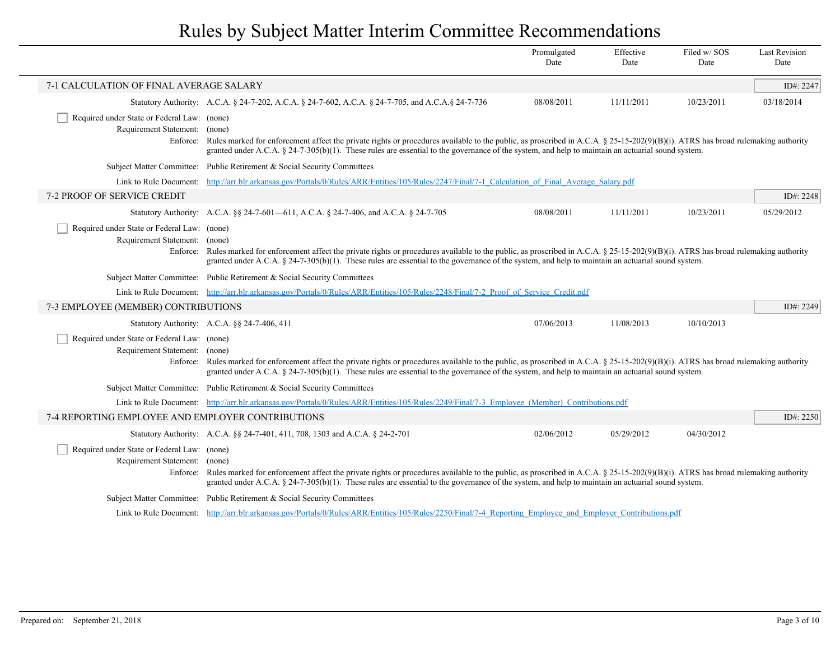|                                                                                                                                                                                                                                                                                                                                                                                                                                  |                                                                                                                                                                                                                                                                                                                                                                                                                               | Promulgated<br>Date | Effective<br>Date | Filed w/SOS<br>Date | <b>Last Revision</b><br>Date |
|----------------------------------------------------------------------------------------------------------------------------------------------------------------------------------------------------------------------------------------------------------------------------------------------------------------------------------------------------------------------------------------------------------------------------------|-------------------------------------------------------------------------------------------------------------------------------------------------------------------------------------------------------------------------------------------------------------------------------------------------------------------------------------------------------------------------------------------------------------------------------|---------------------|-------------------|---------------------|------------------------------|
| 7-1 CALCULATION OF FINAL AVERAGE SALARY                                                                                                                                                                                                                                                                                                                                                                                          |                                                                                                                                                                                                                                                                                                                                                                                                                               |                     |                   |                     | ID#: 2247                    |
|                                                                                                                                                                                                                                                                                                                                                                                                                                  | Statutory Authority: A.C.A. § 24-7-202, A.C.A. § 24-7-602, A.C.A. § 24-7-705, and A.C.A.§ 24-7-736                                                                                                                                                                                                                                                                                                                            | 08/08/2011          | 11/11/2011        | 10/23/2011          | 03/18/2014                   |
| Required under State or Federal Law: (none)<br>Requirement Statement:<br>Enforce:                                                                                                                                                                                                                                                                                                                                                | (none)<br>Rules marked for enforcement affect the private rights or procedures available to the public, as proscribed in A.C.A. § 25-15-202(9)(B)(i). ATRS has broad rulemaking authority<br>granted under A.C.A. $\S$ 24-7-305(b)(1). These rules are essential to the governance of the system, and help to maintain an actuarial sound system.                                                                             |                     |                   |                     |                              |
|                                                                                                                                                                                                                                                                                                                                                                                                                                  | Subject Matter Committee: Public Retirement & Social Security Committees                                                                                                                                                                                                                                                                                                                                                      |                     |                   |                     |                              |
|                                                                                                                                                                                                                                                                                                                                                                                                                                  | Link to Rule Document: http://arr.blr.arkansas.gov/Portals/0/Rules/ARR/Entities/105/Rules/2247/Final/7-1 Calculation of Final Average Salary.pdf                                                                                                                                                                                                                                                                              |                     |                   |                     |                              |
| 7-2 PROOF OF SERVICE CREDIT                                                                                                                                                                                                                                                                                                                                                                                                      |                                                                                                                                                                                                                                                                                                                                                                                                                               |                     |                   |                     | ID#: 2248                    |
|                                                                                                                                                                                                                                                                                                                                                                                                                                  | Statutory Authority: A.C.A. §§ 24-7-601—611, A.C.A. § 24-7-406, and A.C.A. § 24-7-705                                                                                                                                                                                                                                                                                                                                         | 08/08/2011          | 11/11/2011        | 10/23/2011          | 05/29/2012                   |
|                                                                                                                                                                                                                                                                                                                                                                                                                                  | Required under State or Federal Law: (none)<br>Requirement Statement: (none)<br>Enforce: Rules marked for enforcement affect the private rights or procedures available to the public, as proscribed in A.C.A. § 25-15-202(9)(B)(i). ATRS has broad rulemaking authority<br>granted under A.C.A. § 24-7-305(b)(1). These rules are essential to the governance of the system, and help to maintain an actuarial sound system. |                     |                   |                     |                              |
| Subject Matter Committee: Public Retirement & Social Security Committees                                                                                                                                                                                                                                                                                                                                                         |                                                                                                                                                                                                                                                                                                                                                                                                                               |                     |                   |                     |                              |
| Link to Rule Document: http://arr.blr.arkansas.gov/Portals/0/Rules/ARR/Entities/105/Rules/2248/Final/7-2 Proof of Service Credit.pdf                                                                                                                                                                                                                                                                                             |                                                                                                                                                                                                                                                                                                                                                                                                                               |                     |                   |                     |                              |
| 7-3 EMPLOYEE (MEMBER) CONTRIBUTIONS                                                                                                                                                                                                                                                                                                                                                                                              |                                                                                                                                                                                                                                                                                                                                                                                                                               |                     |                   |                     | ID#: 2249                    |
|                                                                                                                                                                                                                                                                                                                                                                                                                                  | Statutory Authority: A.C.A. §§ 24-7-406, 411                                                                                                                                                                                                                                                                                                                                                                                  | 07/06/2013          | 11/08/2013        | 10/10/2013          |                              |
| Required under State or Federal Law: (none)<br>Requirement Statement: (none)<br>Enforce: Rules marked for enforcement affect the private rights or procedures available to the public, as proscribed in A.C.A. § 25-15-202(9)(B)(i). ATRS has broad rulemaking authority<br>granted under A.C.A. § 24-7-305(b)(1). These rules are essential to the governance of the system, and help to maintain an actuarial sound system.    |                                                                                                                                                                                                                                                                                                                                                                                                                               |                     |                   |                     |                              |
|                                                                                                                                                                                                                                                                                                                                                                                                                                  | Subject Matter Committee: Public Retirement & Social Security Committees                                                                                                                                                                                                                                                                                                                                                      |                     |                   |                     |                              |
|                                                                                                                                                                                                                                                                                                                                                                                                                                  | Link to Rule Document: http://arr.blr.arkansas.gov/Portals/0/Rules/ARR/Entities/105/Rules/2249/Final/7-3 Employee (Member) Contributions.pdf                                                                                                                                                                                                                                                                                  |                     |                   |                     |                              |
| 7-4 REPORTING EMPLOYEE AND EMPLOYER CONTRIBUTIONS                                                                                                                                                                                                                                                                                                                                                                                |                                                                                                                                                                                                                                                                                                                                                                                                                               |                     |                   |                     | ID#: 2250                    |
|                                                                                                                                                                                                                                                                                                                                                                                                                                  | Statutory Authority: A.C.A. §§ 24-7-401, 411, 708, 1303 and A.C.A. § 24-2-701                                                                                                                                                                                                                                                                                                                                                 | 02/06/2012          | 05/29/2012        | 04/30/2012          |                              |
| Required under State or Federal Law: (none)<br>Requirement Statement: (none)<br>Enforce: Rules marked for enforcement affect the private rights or procedures available to the public, as proscribed in A.C.A. § 25-15-202(9)(B)(i). ATRS has broad rulemaking authority<br>granted under A.C.A. $\S$ 24-7-305(b)(1). These rules are essential to the governance of the system, and help to maintain an actuarial sound system. |                                                                                                                                                                                                                                                                                                                                                                                                                               |                     |                   |                     |                              |
|                                                                                                                                                                                                                                                                                                                                                                                                                                  | Subject Matter Committee: Public Retirement & Social Security Committees                                                                                                                                                                                                                                                                                                                                                      |                     |                   |                     |                              |
| Link to Rule Document: http://arr.blr.arkansas.gov/Portals/0/Rules/ARR/Entities/105/Rules/2250/Final/7-4 Reporting Employee and Employer Contributions.pdf                                                                                                                                                                                                                                                                       |                                                                                                                                                                                                                                                                                                                                                                                                                               |                     |                   |                     |                              |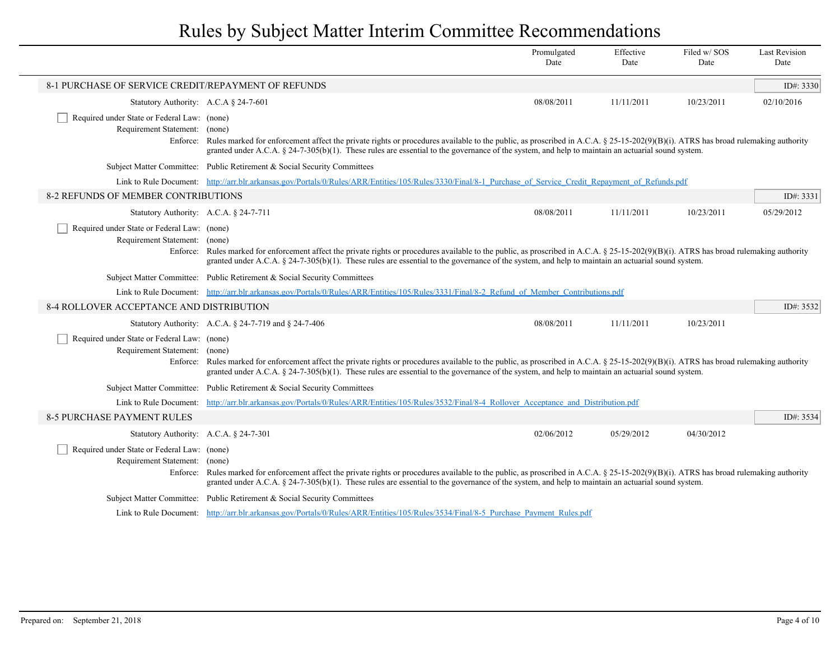|                                                                                                                                                                                                                                                                                                                                                                                                                                  |                                                                                                                                                                                                                                                                                                                                                                                                                               | Promulgated<br>Date | Effective<br>Date | Filed w/SOS<br>Date | <b>Last Revision</b><br>Date |
|----------------------------------------------------------------------------------------------------------------------------------------------------------------------------------------------------------------------------------------------------------------------------------------------------------------------------------------------------------------------------------------------------------------------------------|-------------------------------------------------------------------------------------------------------------------------------------------------------------------------------------------------------------------------------------------------------------------------------------------------------------------------------------------------------------------------------------------------------------------------------|---------------------|-------------------|---------------------|------------------------------|
| 8-1 PURCHASE OF SERVICE CREDIT/REPAYMENT OF REFUNDS                                                                                                                                                                                                                                                                                                                                                                              |                                                                                                                                                                                                                                                                                                                                                                                                                               |                     |                   |                     | ID#: $3330$                  |
| Statutory Authority: A.C.A $\S$ 24-7-601                                                                                                                                                                                                                                                                                                                                                                                         |                                                                                                                                                                                                                                                                                                                                                                                                                               | 08/08/2011          | 11/11/2011        | 10/23/2011          | 02/10/2016                   |
| Required under State or Federal Law: (none)<br>Requirement Statement:                                                                                                                                                                                                                                                                                                                                                            | (none)<br>Enforce: Rules marked for enforcement affect the private rights or procedures available to the public, as proscribed in A.C.A. § 25-15-202(9)(B)(i). ATRS has broad rulemaking authority<br>granted under A.C.A. § 24-7-305(b)(1). These rules are essential to the governance of the system, and help to maintain an actuarial sound system.                                                                       |                     |                   |                     |                              |
|                                                                                                                                                                                                                                                                                                                                                                                                                                  | Subject Matter Committee: Public Retirement & Social Security Committees                                                                                                                                                                                                                                                                                                                                                      |                     |                   |                     |                              |
|                                                                                                                                                                                                                                                                                                                                                                                                                                  | Link to Rule Document: http://arr.blr.arkansas.gov/Portals/0/Rules/ARR/Entities/105/Rules/3330/Final/8-1 Purchase of Service Credit Repayment of Refunds.pdf                                                                                                                                                                                                                                                                  |                     |                   |                     |                              |
| 8-2 REFUNDS OF MEMBER CONTRIBUTIONS<br>Statutory Authority: A.C.A. § 24-7-711                                                                                                                                                                                                                                                                                                                                                    |                                                                                                                                                                                                                                                                                                                                                                                                                               |                     |                   |                     |                              |
|                                                                                                                                                                                                                                                                                                                                                                                                                                  |                                                                                                                                                                                                                                                                                                                                                                                                                               | 08/08/2011          | 11/11/2011        | 10/23/2011          | 05/29/2012                   |
|                                                                                                                                                                                                                                                                                                                                                                                                                                  | Required under State or Federal Law: (none)<br>Requirement Statement: (none)<br>Enforce: Rules marked for enforcement affect the private rights or procedures available to the public, as proscribed in A.C.A. § 25-15-202(9)(B)(i). ATRS has broad rulemaking authority<br>granted under A.C.A. § 24-7-305(b)(1). These rules are essential to the governance of the system, and help to maintain an actuarial sound system. |                     |                   |                     |                              |
|                                                                                                                                                                                                                                                                                                                                                                                                                                  | Subject Matter Committee: Public Retirement & Social Security Committees                                                                                                                                                                                                                                                                                                                                                      |                     |                   |                     |                              |
|                                                                                                                                                                                                                                                                                                                                                                                                                                  | Link to Rule Document: http://arr.blr.arkansas.gov/Portals/0/Rules/ARR/Entities/105/Rules/3331/Final/8-2 Refund of Member Contributions.pdf                                                                                                                                                                                                                                                                                   |                     |                   |                     |                              |
| 8-4 ROLLOVER ACCEPTANCE AND DISTRIBUTION                                                                                                                                                                                                                                                                                                                                                                                         |                                                                                                                                                                                                                                                                                                                                                                                                                               |                     |                   |                     | ID#: 3532                    |
|                                                                                                                                                                                                                                                                                                                                                                                                                                  | Statutory Authority: A.C.A. § 24-7-719 and § 24-7-406                                                                                                                                                                                                                                                                                                                                                                         | 08/08/2011          | 11/11/2011        | 10/23/2011          |                              |
| Required under State or Federal Law: (none)<br>Requirement Statement: (none)                                                                                                                                                                                                                                                                                                                                                     | Enforce: Rules marked for enforcement affect the private rights or procedures available to the public, as proscribed in A.C.A. § 25-15-202(9)(B)(i). ATRS has broad rulemaking authority<br>granted under A.C.A. § 24-7-305(b)(1). These rules are essential to the governance of the system, and help to maintain an actuarial sound system.                                                                                 |                     |                   |                     |                              |
|                                                                                                                                                                                                                                                                                                                                                                                                                                  | Subject Matter Committee: Public Retirement & Social Security Committees                                                                                                                                                                                                                                                                                                                                                      |                     |                   |                     |                              |
| Link to Rule Document:                                                                                                                                                                                                                                                                                                                                                                                                           | http://arr.blr.arkansas.gov/Portals/0/Rules/ARR/Entities/105/Rules/3532/Final/8-4 Rollover Acceptance and Distribution.pdf                                                                                                                                                                                                                                                                                                    |                     |                   |                     |                              |
| 8-5 PURCHASE PAYMENT RULES                                                                                                                                                                                                                                                                                                                                                                                                       |                                                                                                                                                                                                                                                                                                                                                                                                                               |                     |                   |                     | ID#: 3534                    |
| Statutory Authority: A.C.A. § 24-7-301                                                                                                                                                                                                                                                                                                                                                                                           |                                                                                                                                                                                                                                                                                                                                                                                                                               | 02/06/2012          | 05/29/2012        | 04/30/2012          |                              |
| Required under State or Federal Law: (none)<br>Requirement Statement:<br>(none)<br>Enforce: Rules marked for enforcement affect the private rights or procedures available to the public, as proscribed in A.C.A. § 25-15-202(9)(B)(i). ATRS has broad rulemaking authority<br>granted under A.C.A. § 24-7-305(b)(1). These rules are essential to the governance of the system, and help to maintain an actuarial sound system. |                                                                                                                                                                                                                                                                                                                                                                                                                               |                     |                   |                     |                              |
|                                                                                                                                                                                                                                                                                                                                                                                                                                  | Subject Matter Committee: Public Retirement & Social Security Committees                                                                                                                                                                                                                                                                                                                                                      |                     |                   |                     |                              |
|                                                                                                                                                                                                                                                                                                                                                                                                                                  | Link to Rule Document: http://arr.blr.arkansas.gov/Portals/0/Rules/ARR/Entities/105/Rules/3534/Final/8-5 Purchase Payment Rules.pdf                                                                                                                                                                                                                                                                                           |                     |                   |                     |                              |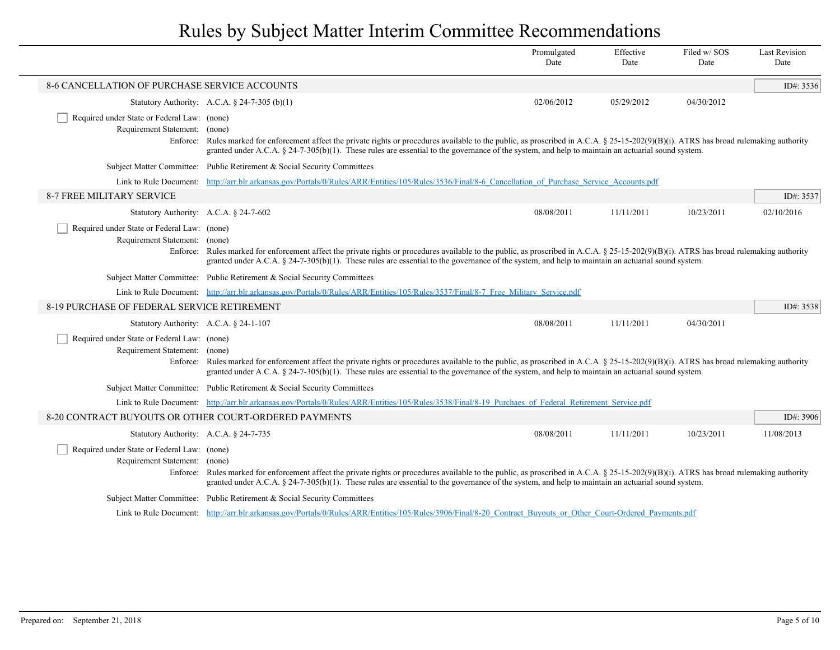|                                                                                                                                                                                                                                                                                                                                                                                                                               |                                                                                                                                                                                                                                                                                                                                                                                                                               | Promulgated<br>Date | Effective<br>Date | Filed w/SOS<br>Date | <b>Last Revision</b><br>Date |  |  |
|-------------------------------------------------------------------------------------------------------------------------------------------------------------------------------------------------------------------------------------------------------------------------------------------------------------------------------------------------------------------------------------------------------------------------------|-------------------------------------------------------------------------------------------------------------------------------------------------------------------------------------------------------------------------------------------------------------------------------------------------------------------------------------------------------------------------------------------------------------------------------|---------------------|-------------------|---------------------|------------------------------|--|--|
| <b>8-6 CANCELLATION OF PURCHASE SERVICE ACCOUNTS</b>                                                                                                                                                                                                                                                                                                                                                                          |                                                                                                                                                                                                                                                                                                                                                                                                                               |                     |                   |                     | ID#: 3536                    |  |  |
|                                                                                                                                                                                                                                                                                                                                                                                                                               | Statutory Authority: A.C.A. $\S$ 24-7-305 (b)(1)                                                                                                                                                                                                                                                                                                                                                                              | 02/06/2012          | 05/29/2012        | 04/30/2012          |                              |  |  |
| Required under State or Federal Law: (none)<br>Requirement Statement: (none)<br>Enforce:                                                                                                                                                                                                                                                                                                                                      | Rules marked for enforcement affect the private rights or procedures available to the public, as proscribed in A.C.A. § 25-15-202(9)(B)(i). ATRS has broad rulemaking authority<br>granted under A.C.A. § 24-7-305(b)(1). These rules are essential to the governance of the system, and help to maintain an actuarial sound system.                                                                                          |                     |                   |                     |                              |  |  |
|                                                                                                                                                                                                                                                                                                                                                                                                                               | Subject Matter Committee: Public Retirement & Social Security Committees                                                                                                                                                                                                                                                                                                                                                      |                     |                   |                     |                              |  |  |
|                                                                                                                                                                                                                                                                                                                                                                                                                               | Link to Rule Document: http://arr.blr.arkansas.gov/Portals/0/Rules/ARR/Entities/105/Rules/3536/Final/8-6 Cancellation of Purchase Service Accounts.pdf                                                                                                                                                                                                                                                                        |                     |                   |                     |                              |  |  |
| 8-7 FREE MILITARY SERVICE                                                                                                                                                                                                                                                                                                                                                                                                     | ID#: 3537                                                                                                                                                                                                                                                                                                                                                                                                                     |                     |                   |                     |                              |  |  |
| Statutory Authority: A.C.A. § 24-7-602                                                                                                                                                                                                                                                                                                                                                                                        |                                                                                                                                                                                                                                                                                                                                                                                                                               | 08/08/2011          | 11/11/2011        | 10/23/2011          | 02/10/2016                   |  |  |
|                                                                                                                                                                                                                                                                                                                                                                                                                               | Required under State or Federal Law: (none)<br>Requirement Statement: (none)<br>Enforce: Rules marked for enforcement affect the private rights or procedures available to the public, as proscribed in A.C.A. § 25-15-202(9)(B)(i). ATRS has broad rulemaking authority<br>granted under A.C.A. § 24-7-305(b)(1). These rules are essential to the governance of the system, and help to maintain an actuarial sound system. |                     |                   |                     |                              |  |  |
|                                                                                                                                                                                                                                                                                                                                                                                                                               | Subject Matter Committee: Public Retirement & Social Security Committees                                                                                                                                                                                                                                                                                                                                                      |                     |                   |                     |                              |  |  |
|                                                                                                                                                                                                                                                                                                                                                                                                                               | Link to Rule Document: http://arr.blr.arkansas.gov/Portals/0/Rules/ARR/Entities/105/Rules/3537/Final/8-7 Free Military Service.pdf                                                                                                                                                                                                                                                                                            |                     |                   |                     |                              |  |  |
| 8-19 PURCHASE OF FEDERAL SERVICE RETIREMENT                                                                                                                                                                                                                                                                                                                                                                                   | ID#: 3538                                                                                                                                                                                                                                                                                                                                                                                                                     |                     |                   |                     |                              |  |  |
| Statutory Authority: A.C.A. $\S$ 24-1-107                                                                                                                                                                                                                                                                                                                                                                                     |                                                                                                                                                                                                                                                                                                                                                                                                                               | 08/08/2011          | 11/11/2011        | 04/30/2011          |                              |  |  |
| Required under State or Federal Law: (none)<br>Requirement Statement: (none)                                                                                                                                                                                                                                                                                                                                                  | Enforce: Rules marked for enforcement affect the private rights or procedures available to the public, as proscribed in A.C.A. § 25-15-202(9)(B)(i). ATRS has broad rulemaking authority<br>granted under A.C.A. $\S$ 24-7-305(b)(1). These rules are essential to the governance of the system, and help to maintain an actuarial sound system.                                                                              |                     |                   |                     |                              |  |  |
|                                                                                                                                                                                                                                                                                                                                                                                                                               | Subject Matter Committee: Public Retirement & Social Security Committees                                                                                                                                                                                                                                                                                                                                                      |                     |                   |                     |                              |  |  |
|                                                                                                                                                                                                                                                                                                                                                                                                                               | Link to Rule Document: http://arr.blr.arkansas.gov/Portals/0/Rules/ARR/Entities/105/Rules/3538/Final/8-19 Purchaes of Federal Retirement Service.pdf                                                                                                                                                                                                                                                                          |                     |                   |                     |                              |  |  |
| 8-20 CONTRACT BUYOUTS OR OTHER COURT-ORDERED PAYMENTS                                                                                                                                                                                                                                                                                                                                                                         |                                                                                                                                                                                                                                                                                                                                                                                                                               |                     |                   |                     | ID#: 3906                    |  |  |
| Statutory Authority: A.C.A. $\S$ 24-7-735                                                                                                                                                                                                                                                                                                                                                                                     |                                                                                                                                                                                                                                                                                                                                                                                                                               | 08/08/2011          | 11/11/2011        | 10/23/2011          | 11/08/2013                   |  |  |
| Required under State or Federal Law: (none)<br>Requirement Statement: (none)<br>Enforce: Rules marked for enforcement affect the private rights or procedures available to the public, as proscribed in A.C.A. § 25-15-202(9)(B)(i). ATRS has broad rulemaking authority<br>granted under A.C.A. § 24-7-305(b)(1). These rules are essential to the governance of the system, and help to maintain an actuarial sound system. |                                                                                                                                                                                                                                                                                                                                                                                                                               |                     |                   |                     |                              |  |  |
|                                                                                                                                                                                                                                                                                                                                                                                                                               | Subject Matter Committee: Public Retirement & Social Security Committees                                                                                                                                                                                                                                                                                                                                                      |                     |                   |                     |                              |  |  |
|                                                                                                                                                                                                                                                                                                                                                                                                                               | Link to Rule Document: http://arr.blr.arkansas.gov/Portals/0/Rules/ARR/Entities/105/Rules/3906/Final/8-20 Contract Buyouts or Other Court-Ordered Payments.pdf                                                                                                                                                                                                                                                                |                     |                   |                     |                              |  |  |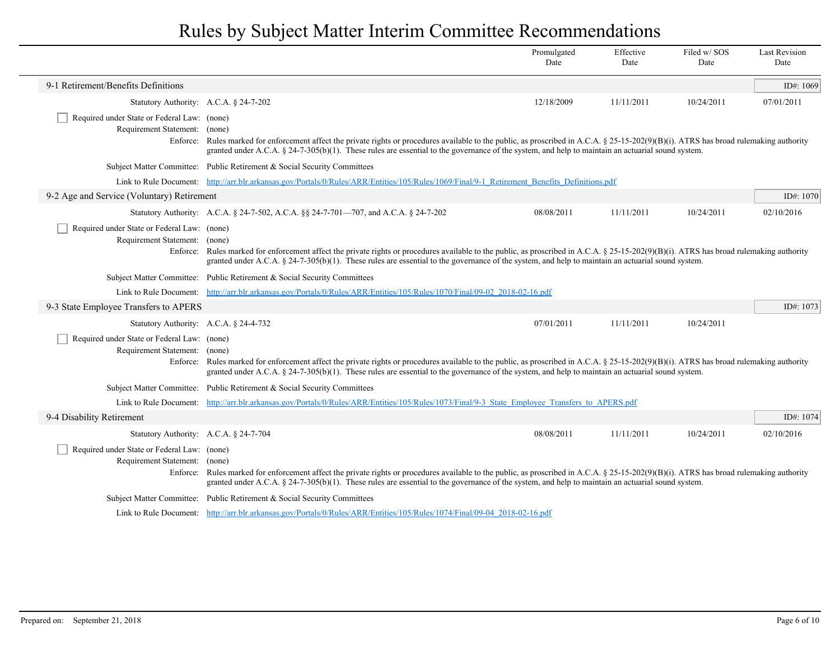|                                                                                                                                                                                                                                                                                                                                                                                                                                  |                                                                                                                                                                                                                                                                                                                                                  | Promulgated<br>Date                                                                                                       | Effective<br>Date | Filed w/SOS<br>Date | <b>Last Revision</b><br>Date |  |
|----------------------------------------------------------------------------------------------------------------------------------------------------------------------------------------------------------------------------------------------------------------------------------------------------------------------------------------------------------------------------------------------------------------------------------|--------------------------------------------------------------------------------------------------------------------------------------------------------------------------------------------------------------------------------------------------------------------------------------------------------------------------------------------------|---------------------------------------------------------------------------------------------------------------------------|-------------------|---------------------|------------------------------|--|
| 9-1 Retirement/Benefits Definitions                                                                                                                                                                                                                                                                                                                                                                                              |                                                                                                                                                                                                                                                                                                                                                  |                                                                                                                           |                   |                     | ID#: 1069                    |  |
| Statutory Authority: A.C.A. § 24-7-202                                                                                                                                                                                                                                                                                                                                                                                           |                                                                                                                                                                                                                                                                                                                                                  | 12/18/2009                                                                                                                | 11/11/2011        | 10/24/2011          | 07/01/2011                   |  |
| Required under State or Federal Law: (none)<br>Requirement Statement: (none)                                                                                                                                                                                                                                                                                                                                                     | Enforce: Rules marked for enforcement affect the private rights or procedures available to the public, as proscribed in A.C.A. § 25-15-202(9)(B)(i). ATRS has broad rulemaking authority<br>granted under A.C.A. $\S$ 24-7-305(b)(1). These rules are essential to the governance of the system, and help to maintain an actuarial sound system. |                                                                                                                           |                   |                     |                              |  |
|                                                                                                                                                                                                                                                                                                                                                                                                                                  | Subject Matter Committee: Public Retirement & Social Security Committees                                                                                                                                                                                                                                                                         |                                                                                                                           |                   |                     |                              |  |
|                                                                                                                                                                                                                                                                                                                                                                                                                                  | Link to Rule Document: http://arr.blr.arkansas.gov/Portals/0/Rules/ARR/Entities/105/Rules/1069/Final/9-1 Retirement Benefits Definitions.pdf                                                                                                                                                                                                     |                                                                                                                           |                   |                     |                              |  |
| 9-2 Age and Service (Voluntary) Retirement                                                                                                                                                                                                                                                                                                                                                                                       |                                                                                                                                                                                                                                                                                                                                                  |                                                                                                                           |                   |                     |                              |  |
|                                                                                                                                                                                                                                                                                                                                                                                                                                  | Statutory Authority: A.C.A. § 24-7-502, A.C.A. §§ 24-7-701—707, and A.C.A. § 24-7-202                                                                                                                                                                                                                                                            | 08/08/2011                                                                                                                | 11/11/2011        | 10/24/2011          | 02/10/2016                   |  |
| Required under State or Federal Law: (none)<br>Requirement Statement: (none)                                                                                                                                                                                                                                                                                                                                                     | Enforce: Rules marked for enforcement affect the private rights or procedures available to the public, as proscribed in A.C.A. § 25-15-202(9)(B)(i). ATRS has broad rulemaking authority<br>granted under A.C.A. § 24-7-305(b)(1). These rules are essential to the governance of the system, and help to maintain an actuarial sound system.    |                                                                                                                           |                   |                     |                              |  |
|                                                                                                                                                                                                                                                                                                                                                                                                                                  | Subject Matter Committee: Public Retirement & Social Security Committees                                                                                                                                                                                                                                                                         |                                                                                                                           |                   |                     |                              |  |
|                                                                                                                                                                                                                                                                                                                                                                                                                                  |                                                                                                                                                                                                                                                                                                                                                  | Link to Rule Document: http://arr.blr.arkansas.gov/Portals/0/Rules/ARR/Entities/105/Rules/1070/Final/09-02 2018-02-16.pdf |                   |                     |                              |  |
| 9-3 State Employee Transfers to APERS                                                                                                                                                                                                                                                                                                                                                                                            |                                                                                                                                                                                                                                                                                                                                                  |                                                                                                                           |                   |                     | ID#: 1073                    |  |
| Statutory Authority: A.C.A. § 24-4-732                                                                                                                                                                                                                                                                                                                                                                                           |                                                                                                                                                                                                                                                                                                                                                  | 07/01/2011                                                                                                                | 11/11/2011        | 10/24/2011          |                              |  |
| Required under State or Federal Law: (none)<br>Requirement Statement: (none)<br>Enforce: Rules marked for enforcement affect the private rights or procedures available to the public, as proscribed in A.C.A. § 25-15-202(9)(B)(i). ATRS has broad rulemaking authority<br>granted under A.C.A. $\S$ 24-7-305(b)(1). These rules are essential to the governance of the system, and help to maintain an actuarial sound system. |                                                                                                                                                                                                                                                                                                                                                  |                                                                                                                           |                   |                     |                              |  |
|                                                                                                                                                                                                                                                                                                                                                                                                                                  | Subject Matter Committee: Public Retirement & Social Security Committees                                                                                                                                                                                                                                                                         |                                                                                                                           |                   |                     |                              |  |
|                                                                                                                                                                                                                                                                                                                                                                                                                                  | Link to Rule Document: http://arr.blr.arkansas.gov/Portals/0/Rules/ARR/Entities/105/Rules/1073/Final/9-3 State Employee Transfers to APERS.pdf                                                                                                                                                                                                   |                                                                                                                           |                   |                     |                              |  |
| 9-4 Disability Retirement                                                                                                                                                                                                                                                                                                                                                                                                        |                                                                                                                                                                                                                                                                                                                                                  |                                                                                                                           |                   |                     | ID#: 1074                    |  |
| Statutory Authority: A.C.A. § 24-7-704                                                                                                                                                                                                                                                                                                                                                                                           |                                                                                                                                                                                                                                                                                                                                                  | 08/08/2011                                                                                                                | 11/11/2011        | 10/24/2011          | 02/10/2016                   |  |
| Required under State or Federal Law: (none)<br>Requirement Statement: (none)<br>Enforce: Rules marked for enforcement affect the private rights or procedures available to the public, as proscribed in A.C.A. § 25-15-202(9)(B)(i). ATRS has broad rulemaking authority<br>granted under A.C.A. § 24-7-305(b)(1). These rules are essential to the governance of the system, and help to maintain an actuarial sound system.    |                                                                                                                                                                                                                                                                                                                                                  |                                                                                                                           |                   |                     |                              |  |
|                                                                                                                                                                                                                                                                                                                                                                                                                                  | Subject Matter Committee: Public Retirement & Social Security Committees                                                                                                                                                                                                                                                                         |                                                                                                                           |                   |                     |                              |  |
|                                                                                                                                                                                                                                                                                                                                                                                                                                  | Link to Rule Document: http://arr.blr.arkansas.gov/Portals/0/Rules/ARR/Entities/105/Rules/1074/Final/09-04 2018-02-16.pdf                                                                                                                                                                                                                        |                                                                                                                           |                   |                     |                              |  |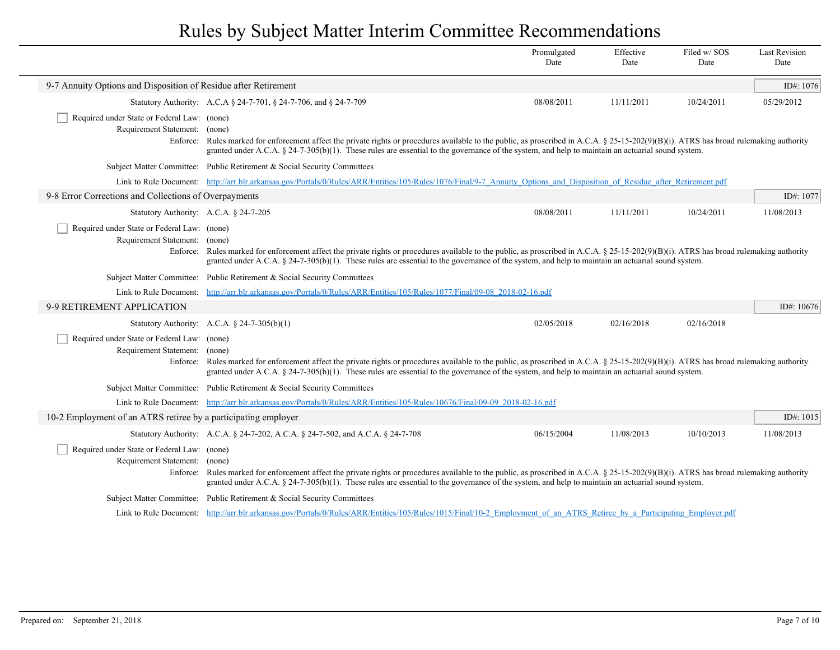|                                                                                                                                                                                                                                                                                                                                                                                                                                  |                                                                                                                                                                                                                                                                                                                                               | Promulgated<br>Date | Effective<br>Date | Filed w/SOS<br>Date | <b>Last Revision</b><br>Date |  |  |
|----------------------------------------------------------------------------------------------------------------------------------------------------------------------------------------------------------------------------------------------------------------------------------------------------------------------------------------------------------------------------------------------------------------------------------|-----------------------------------------------------------------------------------------------------------------------------------------------------------------------------------------------------------------------------------------------------------------------------------------------------------------------------------------------|---------------------|-------------------|---------------------|------------------------------|--|--|
| 9-7 Annuity Options and Disposition of Residue after Retirement                                                                                                                                                                                                                                                                                                                                                                  |                                                                                                                                                                                                                                                                                                                                               |                     |                   |                     | ID#: 1076                    |  |  |
|                                                                                                                                                                                                                                                                                                                                                                                                                                  | Statutory Authority: A.C.A § 24-7-701, § 24-7-706, and § 24-7-709                                                                                                                                                                                                                                                                             | 08/08/2011          | 11/11/2011        | 10/24/2011          | 05/29/2012                   |  |  |
| Required under State or Federal Law: (none)<br>Requirement Statement: (none)<br>Enforce:                                                                                                                                                                                                                                                                                                                                         | Rules marked for enforcement affect the private rights or procedures available to the public, as proscribed in A.C.A. § 25-15-202(9)(B)(i). ATRS has broad rulemaking authority<br>granted under A.C.A. § 24-7-305(b)(1). These rules are essential to the governance of the system, and help to maintain an actuarial sound system.          |                     |                   |                     |                              |  |  |
|                                                                                                                                                                                                                                                                                                                                                                                                                                  | Subject Matter Committee: Public Retirement & Social Security Committees                                                                                                                                                                                                                                                                      |                     |                   |                     |                              |  |  |
|                                                                                                                                                                                                                                                                                                                                                                                                                                  | Link to Rule Document: http://arr.blr.arkansas.gov/Portals/0/Rules/ARR/Entities/105/Rules/1076/Final/9-7 Annuity Options and Disposition of Residue after Retirement.pdf                                                                                                                                                                      |                     |                   |                     |                              |  |  |
| 9-8 Error Corrections and Collections of Overpayments<br>ID#: 1077<br>Statutory Authority: A.C.A. $\S$ 24-7-205                                                                                                                                                                                                                                                                                                                  |                                                                                                                                                                                                                                                                                                                                               |                     |                   |                     |                              |  |  |
|                                                                                                                                                                                                                                                                                                                                                                                                                                  |                                                                                                                                                                                                                                                                                                                                               | 08/08/2011          | 11/11/2011        | 10/24/2011          | 11/08/2013                   |  |  |
| Required under State or Federal Law: (none)<br>Requirement Statement: (none)<br>Enforce: Rules marked for enforcement affect the private rights or procedures available to the public, as proscribed in A.C.A. § 25-15-202(9)(B)(i). ATRS has broad rulemaking authority<br>granted under A.C.A. § 24-7-305(b)(1). These rules are essential to the governance of the system, and help to maintain an actuarial sound system.    |                                                                                                                                                                                                                                                                                                                                               |                     |                   |                     |                              |  |  |
|                                                                                                                                                                                                                                                                                                                                                                                                                                  | Subject Matter Committee: Public Retirement & Social Security Committees                                                                                                                                                                                                                                                                      |                     |                   |                     |                              |  |  |
| Link to Rule Document: http://arr.blr.arkansas.gov/Portals/0/Rules/ARR/Entities/105/Rules/1077/Final/09-08 2018-02-16.pdf                                                                                                                                                                                                                                                                                                        |                                                                                                                                                                                                                                                                                                                                               |                     |                   |                     |                              |  |  |
| 9-9 RETIREMENT APPLICATION                                                                                                                                                                                                                                                                                                                                                                                                       |                                                                                                                                                                                                                                                                                                                                               |                     |                   |                     | ID#: $10676$                 |  |  |
|                                                                                                                                                                                                                                                                                                                                                                                                                                  | Statutory Authority: A.C.A. $\S$ 24-7-305(b)(1)                                                                                                                                                                                                                                                                                               | 02/05/2018          | 02/16/2018        | 02/16/2018          |                              |  |  |
| Required under State or Federal Law: (none)<br>Requirement Statement: (none)                                                                                                                                                                                                                                                                                                                                                     | Enforce: Rules marked for enforcement affect the private rights or procedures available to the public, as proscribed in A.C.A. § 25-15-202(9)(B)(i). ATRS has broad rulemaking authority<br>granted under A.C.A. § 24-7-305(b)(1). These rules are essential to the governance of the system, and help to maintain an actuarial sound system. |                     |                   |                     |                              |  |  |
|                                                                                                                                                                                                                                                                                                                                                                                                                                  | Subject Matter Committee: Public Retirement & Social Security Committees                                                                                                                                                                                                                                                                      |                     |                   |                     |                              |  |  |
|                                                                                                                                                                                                                                                                                                                                                                                                                                  | Link to Rule Document: http://arr.blr.arkansas.gov/Portals/0/Rules/ARR/Entities/105/Rules/10676/Final/09-09 2018-02-16.pdf                                                                                                                                                                                                                    |                     |                   |                     |                              |  |  |
| 10-2 Employment of an ATRS retiree by a participating employer                                                                                                                                                                                                                                                                                                                                                                   |                                                                                                                                                                                                                                                                                                                                               |                     |                   |                     | ID#: $1015$                  |  |  |
|                                                                                                                                                                                                                                                                                                                                                                                                                                  | Statutory Authority: A.C.A. § 24-7-202, A.C.A. § 24-7-502, and A.C.A. § 24-7-708                                                                                                                                                                                                                                                              | 06/15/2004          | 11/08/2013        | 10/10/2013          | 11/08/2013                   |  |  |
| Required under State or Federal Law: (none)<br>Requirement Statement: (none)<br>Rules marked for enforcement affect the private rights or procedures available to the public, as proscribed in A.C.A. § 25-15-202(9)(B)(i). ATRS has broad rulemaking authority<br>Enforce:<br>granted under A.C.A. § 24-7-305(b)(1). These rules are essential to the governance of the system, and help to maintain an actuarial sound system. |                                                                                                                                                                                                                                                                                                                                               |                     |                   |                     |                              |  |  |
|                                                                                                                                                                                                                                                                                                                                                                                                                                  | Subject Matter Committee: Public Retirement & Social Security Committees                                                                                                                                                                                                                                                                      |                     |                   |                     |                              |  |  |
|                                                                                                                                                                                                                                                                                                                                                                                                                                  | Link to Rule Document: http://arr.blr.arkansas.gov/Portals/0/Rules/ARR/Entities/105/Rules/1015/Final/10-2 Employment of an ATRS Retiree by a Participating Employer.pdf                                                                                                                                                                       |                     |                   |                     |                              |  |  |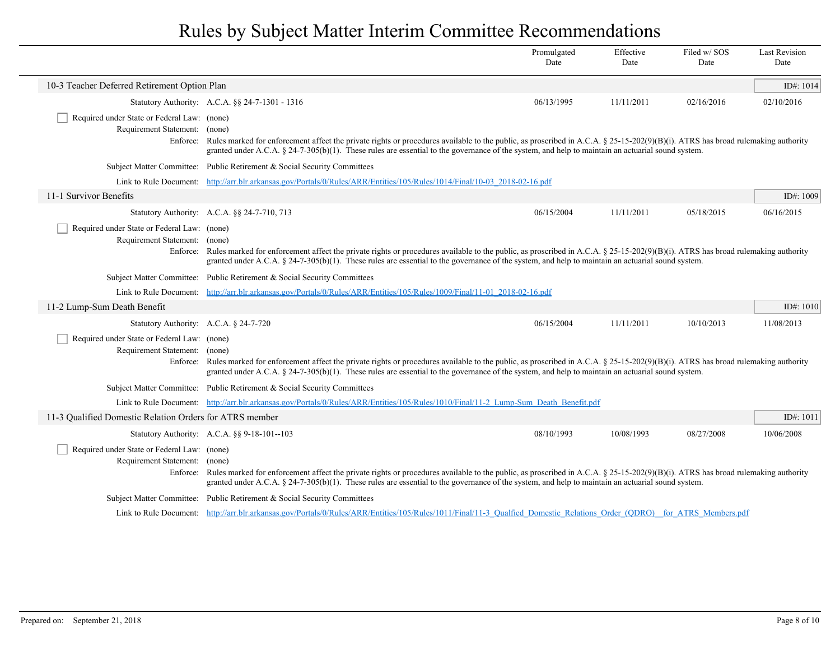|                                                                                                                                                                                                                                                                                                                                                                                                                               |                                                                                                                                                                                                                                                                                                                                                                                                                                  | Promulgated<br>Date | Effective<br>Date | Filed w/SOS<br>Date | <b>Last Revision</b><br>Date |
|-------------------------------------------------------------------------------------------------------------------------------------------------------------------------------------------------------------------------------------------------------------------------------------------------------------------------------------------------------------------------------------------------------------------------------|----------------------------------------------------------------------------------------------------------------------------------------------------------------------------------------------------------------------------------------------------------------------------------------------------------------------------------------------------------------------------------------------------------------------------------|---------------------|-------------------|---------------------|------------------------------|
| 10-3 Teacher Deferred Retirement Option Plan                                                                                                                                                                                                                                                                                                                                                                                  |                                                                                                                                                                                                                                                                                                                                                                                                                                  |                     |                   |                     | ID#: $1014$                  |
|                                                                                                                                                                                                                                                                                                                                                                                                                               | Statutory Authority: A.C.A. §§ 24-7-1301 - 1316                                                                                                                                                                                                                                                                                                                                                                                  | 06/13/1995          | 11/11/2011        | 02/16/2016          | 02/10/2016                   |
| Required under State or Federal Law: (none)<br>Requirement Statement: (none)<br>Enforce:                                                                                                                                                                                                                                                                                                                                      | Rules marked for enforcement affect the private rights or procedures available to the public, as proscribed in A.C.A. § 25-15-202(9)(B)(i). ATRS has broad rulemaking authority<br>granted under A.C.A. $\S$ 24-7-305(b)(1). These rules are essential to the governance of the system, and help to maintain an actuarial sound system.                                                                                          |                     |                   |                     |                              |
|                                                                                                                                                                                                                                                                                                                                                                                                                               | Subject Matter Committee: Public Retirement & Social Security Committees                                                                                                                                                                                                                                                                                                                                                         |                     |                   |                     |                              |
|                                                                                                                                                                                                                                                                                                                                                                                                                               | Link to Rule Document: http://arr.blr.arkansas.gov/Portals/0/Rules/ARR/Entities/105/Rules/1014/Final/10-03 2018-02-16.pdf                                                                                                                                                                                                                                                                                                        |                     |                   |                     |                              |
| 11-1 Survivor Benefits                                                                                                                                                                                                                                                                                                                                                                                                        |                                                                                                                                                                                                                                                                                                                                                                                                                                  |                     |                   |                     | ID#: $1009$                  |
|                                                                                                                                                                                                                                                                                                                                                                                                                               | Statutory Authority: A.C.A. §§ 24-7-710, 713                                                                                                                                                                                                                                                                                                                                                                                     | 06/15/2004          | 11/11/2011        | 05/18/2015          | 06/16/2015                   |
| Required under State or Federal Law: (none)<br>Requirement Statement: (none)<br>Enforce: Rules marked for enforcement affect the private rights or procedures available to the public, as proscribed in A.C.A. § 25-15-202(9)(B)(i). ATRS has broad rulemaking authority<br>granted under A.C.A. § 24-7-305(b)(1). These rules are essential to the governance of the system, and help to maintain an actuarial sound system. |                                                                                                                                                                                                                                                                                                                                                                                                                                  |                     |                   |                     |                              |
|                                                                                                                                                                                                                                                                                                                                                                                                                               | Subject Matter Committee: Public Retirement & Social Security Committees                                                                                                                                                                                                                                                                                                                                                         |                     |                   |                     |                              |
|                                                                                                                                                                                                                                                                                                                                                                                                                               | Link to Rule Document: http://arr.blr.arkansas.gov/Portals/0/Rules/ARR/Entities/105/Rules/1009/Final/11-01 2018-02-16.pdf                                                                                                                                                                                                                                                                                                        |                     |                   |                     |                              |
| 11-2 Lump-Sum Death Benefit                                                                                                                                                                                                                                                                                                                                                                                                   |                                                                                                                                                                                                                                                                                                                                                                                                                                  |                     |                   |                     | ID#: $1010$                  |
| Statutory Authority: A.C.A. § 24-7-720                                                                                                                                                                                                                                                                                                                                                                                        |                                                                                                                                                                                                                                                                                                                                                                                                                                  | 06/15/2004          | 11/11/2011        | 10/10/2013          | 11/08/2013                   |
| Required under State or Federal Law: (none)<br>Requirement Statement: (none)                                                                                                                                                                                                                                                                                                                                                  | Enforce: Rules marked for enforcement affect the private rights or procedures available to the public, as proscribed in A.C.A. § 25-15-202(9)(B)(i). ATRS has broad rulemaking authority<br>granted under A.C.A. § 24-7-305(b)(1). These rules are essential to the governance of the system, and help to maintain an actuarial sound system.                                                                                    |                     |                   |                     |                              |
|                                                                                                                                                                                                                                                                                                                                                                                                                               | Subject Matter Committee: Public Retirement & Social Security Committees                                                                                                                                                                                                                                                                                                                                                         |                     |                   |                     |                              |
|                                                                                                                                                                                                                                                                                                                                                                                                                               | Link to Rule Document: http://arr.blr.arkansas.gov/Portals/0/Rules/ARR/Entities/105/Rules/1010/Final/11-2 Lump-Sum Death Benefit.pdf                                                                                                                                                                                                                                                                                             |                     |                   |                     |                              |
| 11-3 Qualified Domestic Relation Orders for ATRS member                                                                                                                                                                                                                                                                                                                                                                       |                                                                                                                                                                                                                                                                                                                                                                                                                                  |                     |                   |                     | ID#: 1011                    |
|                                                                                                                                                                                                                                                                                                                                                                                                                               | Statutory Authority: A.C.A. §§ 9-18-101--103                                                                                                                                                                                                                                                                                                                                                                                     | 08/10/1993          | 10/08/1993        | 08/27/2008          | 10/06/2008                   |
|                                                                                                                                                                                                                                                                                                                                                                                                                               | Required under State or Federal Law: (none)<br>Requirement Statement: (none)<br>Rules marked for enforcement affect the private rights or procedures available to the public, as proscribed in A.C.A. § 25-15-202(9)(B)(i). ATRS has broad rulemaking authority<br>Enforce:<br>granted under A.C.A. § 24-7-305(b)(1). These rules are essential to the governance of the system, and help to maintain an actuarial sound system. |                     |                   |                     |                              |
|                                                                                                                                                                                                                                                                                                                                                                                                                               | Subject Matter Committee: Public Retirement & Social Security Committees                                                                                                                                                                                                                                                                                                                                                         |                     |                   |                     |                              |
|                                                                                                                                                                                                                                                                                                                                                                                                                               | Link to Rule Document: http://arr.blr.arkansas.gov/Portals/0/Rules/ARR/Entities/105/Rules/1011/Final/11-3 Oualfied Domestic Relations Order (ODRO) for ATRS Members.pdf                                                                                                                                                                                                                                                          |                     |                   |                     |                              |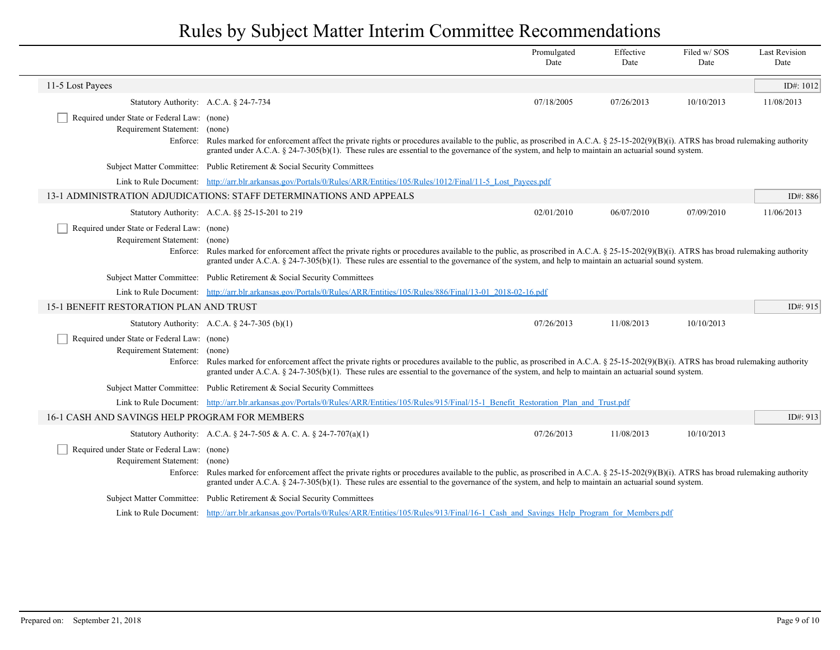|                                                                                                                                                                                                                                                                                                                                                                                                                                  |                                                                                                                                                                                                                                                                                                                                                | Promulgated<br>Date | Effective<br>Date | Filed w/ SOS<br>Date | <b>Last Revision</b><br>Date |
|----------------------------------------------------------------------------------------------------------------------------------------------------------------------------------------------------------------------------------------------------------------------------------------------------------------------------------------------------------------------------------------------------------------------------------|------------------------------------------------------------------------------------------------------------------------------------------------------------------------------------------------------------------------------------------------------------------------------------------------------------------------------------------------|---------------------|-------------------|----------------------|------------------------------|
| 11-5 Lost Payees                                                                                                                                                                                                                                                                                                                                                                                                                 |                                                                                                                                                                                                                                                                                                                                                |                     |                   |                      | ID#: $1012$                  |
|                                                                                                                                                                                                                                                                                                                                                                                                                                  | Statutory Authority: A.C.A. § 24-7-734                                                                                                                                                                                                                                                                                                         | 07/18/2005          | 07/26/2013        | 10/10/2013           | 11/08/2013                   |
| Required under State or Federal Law: (none)<br>Requirement Statement:<br>Enforce:                                                                                                                                                                                                                                                                                                                                                | (none)<br>Rules marked for enforcement affect the private rights or procedures available to the public, as proscribed in A.C.A. § 25-15-202(9)(B)(i). ATRS has broad rulemaking authority<br>granted under A.C.A. § 24-7-305(b)(1). These rules are essential to the governance of the system, and help to maintain an actuarial sound system. |                     |                   |                      |                              |
|                                                                                                                                                                                                                                                                                                                                                                                                                                  | Subject Matter Committee: Public Retirement & Social Security Committees                                                                                                                                                                                                                                                                       |                     |                   |                      |                              |
|                                                                                                                                                                                                                                                                                                                                                                                                                                  | Link to Rule Document: http://arr.blr.arkansas.gov/Portals/0/Rules/ARR/Entities/105/Rules/1012/Final/11-5 Lost Payees.pdf                                                                                                                                                                                                                      |                     |                   |                      |                              |
|                                                                                                                                                                                                                                                                                                                                                                                                                                  | 13-1 ADMINISTRATION ADJUDICATIONS: STAFF DETERMINATIONS AND APPEALS                                                                                                                                                                                                                                                                            |                     |                   |                      | ID#: 886                     |
|                                                                                                                                                                                                                                                                                                                                                                                                                                  | Statutory Authority: A.C.A. §§ 25-15-201 to 219                                                                                                                                                                                                                                                                                                | 02/01/2010          | 06/07/2010        | 07/09/2010           | 11/06/2013                   |
| Required under State or Federal Law: (none)<br>Requirement Statement: (none)<br>Enforce: Rules marked for enforcement affect the private rights or procedures available to the public, as proscribed in A.C.A. § 25-15-202(9)(B)(i). ATRS has broad rulemaking authority<br>granted under A.C.A. § 24-7-305(b)(1). These rules are essential to the governance of the system, and help to maintain an actuarial sound system.    |                                                                                                                                                                                                                                                                                                                                                |                     |                   |                      |                              |
| Subject Matter Committee: Public Retirement & Social Security Committees                                                                                                                                                                                                                                                                                                                                                         |                                                                                                                                                                                                                                                                                                                                                |                     |                   |                      |                              |
| Link to Rule Document: http://arr.blr.arkansas.gov/Portals/0/Rules/ARR/Entities/105/Rules/886/Final/13-01 2018-02-16.pdf                                                                                                                                                                                                                                                                                                         |                                                                                                                                                                                                                                                                                                                                                |                     |                   |                      |                              |
| 15-1 BENEFIT RESTORATION PLAN AND TRUST                                                                                                                                                                                                                                                                                                                                                                                          |                                                                                                                                                                                                                                                                                                                                                |                     |                   |                      | ID#: 915                     |
|                                                                                                                                                                                                                                                                                                                                                                                                                                  | Statutory Authority: A.C.A. $\S$ 24-7-305 (b)(1)                                                                                                                                                                                                                                                                                               | 07/26/2013          | 11/08/2013        | 10/10/2013           |                              |
| Required under State or Federal Law: (none)<br>Requirement Statement: (none)                                                                                                                                                                                                                                                                                                                                                     | Enforce: Rules marked for enforcement affect the private rights or procedures available to the public, as proscribed in A.C.A. § 25-15-202(9)(B)(i). ATRS has broad rulemaking authority<br>granted under A.C.A. § 24-7-305(b)(1). These rules are essential to the governance of the system, and help to maintain an actuarial sound system.  |                     |                   |                      |                              |
|                                                                                                                                                                                                                                                                                                                                                                                                                                  | Subject Matter Committee: Public Retirement & Social Security Committees                                                                                                                                                                                                                                                                       |                     |                   |                      |                              |
|                                                                                                                                                                                                                                                                                                                                                                                                                                  | Link to Rule Document: http://arr.blr.arkansas.gov/Portals/0/Rules/ARR/Entities/105/Rules/915/Final/15-1 Benefit Restoration Plan and Trust.pdf                                                                                                                                                                                                |                     |                   |                      |                              |
| 16-1 CASH AND SAVINGS HELP PROGRAM FOR MEMBERS                                                                                                                                                                                                                                                                                                                                                                                   |                                                                                                                                                                                                                                                                                                                                                |                     |                   |                      | ID#: 913                     |
|                                                                                                                                                                                                                                                                                                                                                                                                                                  | Statutory Authority: A.C.A. § 24-7-505 & A.C.A. § 24-7-707(a)(1)                                                                                                                                                                                                                                                                               | 07/26/2013          | 11/08/2013        | 10/10/2013           |                              |
| Required under State or Federal Law: (none)<br>Requirement Statement:<br>(none)<br>Enforce: Rules marked for enforcement affect the private rights or procedures available to the public, as proscribed in A.C.A. § 25-15-202(9)(B)(i). ATRS has broad rulemaking authority<br>granted under A.C.A. § 24-7-305(b)(1). These rules are essential to the governance of the system, and help to maintain an actuarial sound system. |                                                                                                                                                                                                                                                                                                                                                |                     |                   |                      |                              |
|                                                                                                                                                                                                                                                                                                                                                                                                                                  | Subject Matter Committee: Public Retirement & Social Security Committees                                                                                                                                                                                                                                                                       |                     |                   |                      |                              |
| Link to Rule Document: http://arr.blr.arkansas.gov/Portals/0/Rules/ARR/Entities/105/Rules/913/Final/16-1 Cash and Savings Help Program for Members.pdf                                                                                                                                                                                                                                                                           |                                                                                                                                                                                                                                                                                                                                                |                     |                   |                      |                              |